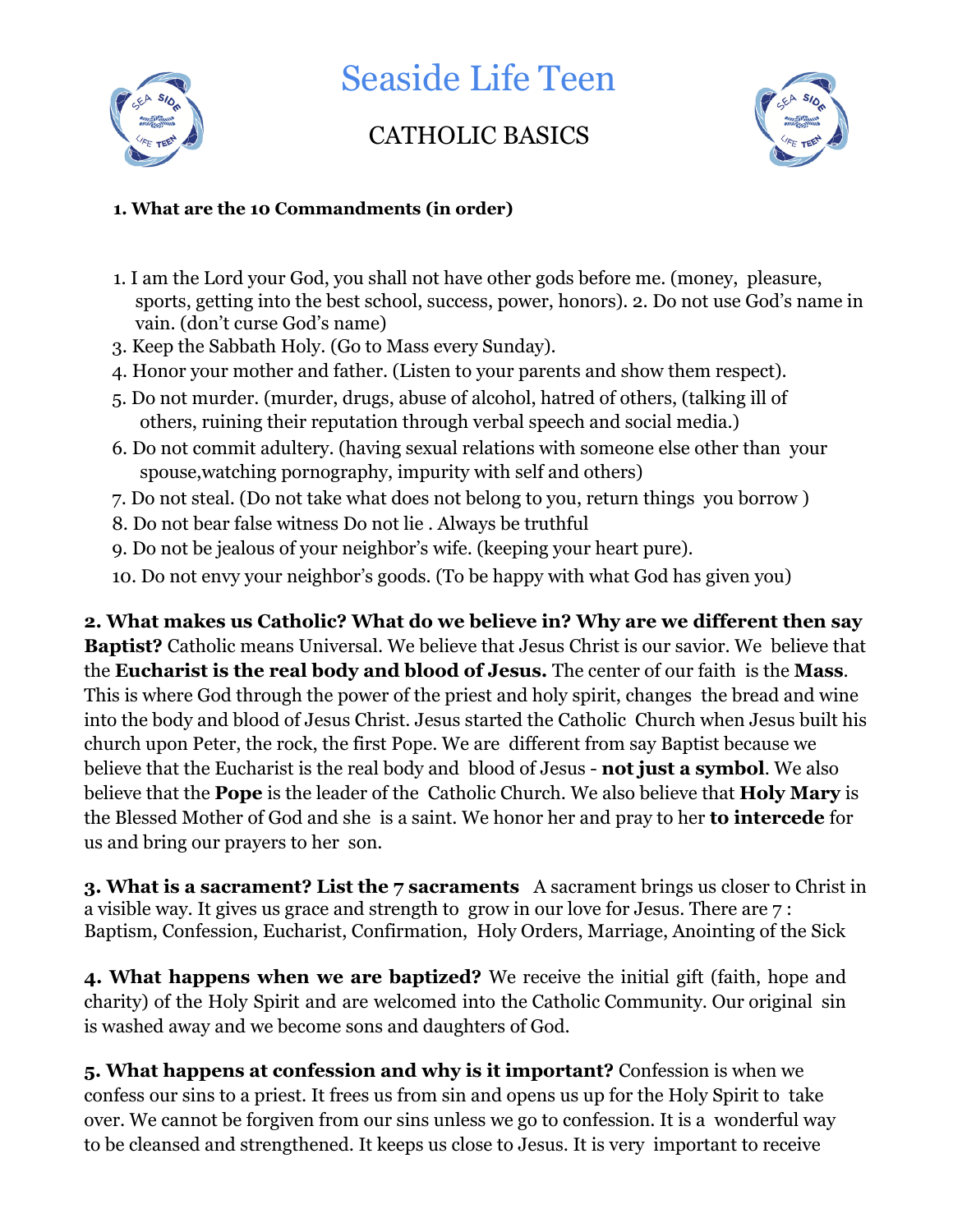

Seaside Life Teen

## CATHOLIC BASICS



## **1. What are the 10 Commandments (in order)**

- 1. I am the Lord your God, you shall not have other gods before me. (money, pleasure, sports, getting into the best school, success, power, honors). 2. Do not use God's name in vain. (don't curse God's name)
- 3. Keep the Sabbath Holy. (Go to Mass every Sunday).
- 4. Honor your mother and father. (Listen to your parents and show them respect).
- 5. Do not murder. (murder, drugs, abuse of alcohol, hatred of others, (talking ill of others, ruining their reputation through verbal speech and social media.)
- 6. Do not commit adultery. (having sexual relations with someone else other than your spouse,watching pornography, impurity with self and others)
- 7. Do not steal. (Do not take what does not belong to you, return things you borrow )
- 8. Do not bear false witness Do not lie . Always be truthful
- 9. Do not be jealous of your neighbor's wife. (keeping your heart pure).
- 10. Do not envy your neighbor's goods. (To be happy with what God has given you)

**2. What makes us Catholic? What do we believe in? Why are we different then say Baptist?** Catholic means Universal. We believe that Jesus Christ is our savior. We believe that the **Eucharist is the real body and blood of Jesus.** The center of our faith is the **Mass**. This is where God through the power of the priest and holy spirit, changes the bread and wine into the body and blood of Jesus Christ. Jesus started the Catholic Church when Jesus built his church upon Peter, the rock, the first Pope. We are different from say Baptist because we believe that the Eucharist is the real body and blood of Jesus - **not just a symbol**. We also believe that the **Pope** is the leader of the Catholic Church. We also believe that **Holy Mary** is the Blessed Mother of God and she is a saint. We honor her and pray to her **to intercede** for us and bring our prayers to her son.

**3. What is a sacrament? List the 7 sacraments** A sacrament brings us closer to Christ in a visible way. It gives us grace and strength to grow in our love for Jesus. There are 7 : Baptism, Confession, Eucharist, Confirmation, Holy Orders, Marriage, Anointing of the Sick

**4. What happens when we are baptized?** We receive the initial gift (faith, hope and charity) of the Holy Spirit and are welcomed into the Catholic Community. Our original sin is washed away and we become sons and daughters of God.

**5. What happens at confession and why is it important?** Confession is when we confess our sins to a priest. It frees us from sin and opens us up for the Holy Spirit to take over. We cannot be forgiven from our sins unless we go to confession. It is a wonderful way to be cleansed and strengthened. It keeps us close to Jesus. It is very important to receive